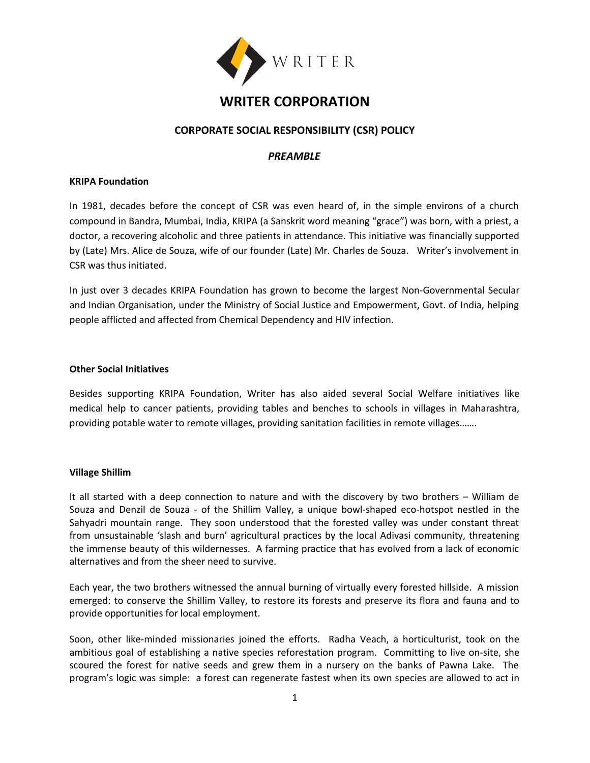

# **WRITER CORPORATION**

# **CORPORATE SOCIAL RESPONSIBILITY (CSR) POLICY**

### *PREAMBLE*

#### **KRIPA Foundation**

In 1981, decades before the concept of CSR was even heard of, in the simple environs of a church compound in Bandra, Mumbai, India, KRIPA (a Sanskrit word meaning "grace") was born, with a priest, a doctor, a recovering alcoholic and three patients in attendance. This initiative was financially supported by (Late) Mrs. Alice de Souza, wife of our founder (Late) Mr. Charles de Souza. Writer's involvement in CSR was thus initiated.

In just over 3 decades KRIPA Foundation has grown to become the largest Non-Governmental Secular and Indian Organisation, under the Ministry of Social Justice and Empowerment, Govt. of India, helping people afflicted and affected from Chemical Dependency and HIV infection.

#### **Other Social Initiatives**

Besides supporting KRIPA Foundation, Writer has also aided several Social Welfare initiatives like medical help to cancer patients, providing tables and benches to schools in villages in Maharashtra, providing potable water to remote villages, providing sanitation facilities in remote villages…….

#### **Village Shillim**

It all started with a deep connection to nature and with the discovery by two brothers – William de Souza and Denzil de Souza - of the Shillim Valley, a unique bowl-shaped eco-hotspot nestled in the Sahyadri mountain range. They soon understood that the forested valley was under constant threat from unsustainable 'slash and burn' agricultural practices by the local Adivasi community, threatening the immense beauty of this wildernesses. A farming practice that has evolved from a lack of economic alternatives and from the sheer need to survive.

Each year, the two brothers witnessed the annual burning of virtually every forested hillside. A mission emerged: to conserve the Shillim Valley, to restore its forests and preserve its flora and fauna and to provide opportunities for local employment.

Soon, other like-minded missionaries joined the efforts. Radha Veach, a horticulturist, took on the ambitious goal of establishing a native species reforestation program. Committing to live on-site, she scoured the forest for native seeds and grew them in a nursery on the banks of Pawna Lake. The program's logic was simple: a forest can regenerate fastest when its own species are allowed to act in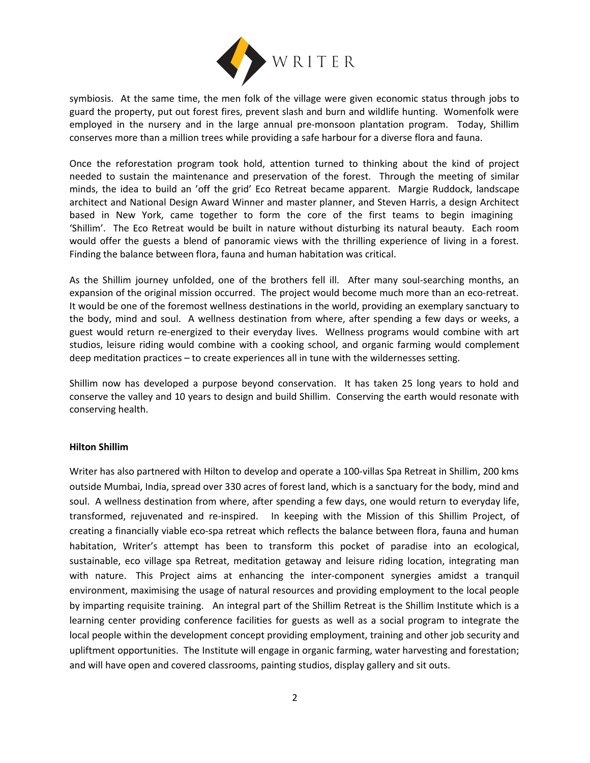

symbiosis. At the same time, the men folk of the village were given economic status through jobs to guard the property, put out forest fires, prevent slash and burn and wildlife hunting. Womenfolk were employed in the nursery and in the large annual pre-monsoon plantation program. Today, Shillim conserves more than a million trees while providing a safe harbour for a diverse flora and fauna.

Once the reforestation program took hold, attention turned to thinking about the kind of project needed to sustain the maintenance and preservation of the forest. Through the meeting of similar minds, the idea to build an 'off the grid' Eco Retreat became apparent. Margie Ruddock, landscape architect and National Design Award Winner and master planner, and Steven Harris, a design Architect based in New York, came together to form the core of the first teams to begin imagining 'Shillim'. The Eco Retreat would be built in nature without disturbing its natural beauty. Each room would offer the guests a blend of panoramic views with the thrilling experience of living in a forest. Finding the balance between flora, fauna and human habitation was critical.

As the Shillim journey unfolded, one of the brothers fell ill. After many soul-searching months, an expansion of the original mission occurred. The project would become much more than an eco-retreat. It would be one of the foremost wellness destinations in the world, providing an exemplary sanctuary to the body, mind and soul. A wellness destination from where, after spending a few days or weeks, a guest would return re-energized to their everyday lives. Wellness programs would combine with art studios, leisure riding would combine with a cooking school, and organic farming would complement deep meditation practices – to create experiences all in tune with the wildernesses setting.

Shillim now has developed a purpose beyond conservation. It has taken 25 long years to hold and conserve the valley and 10 years to design and build Shillim. Conserving the earth would resonate with conserving health.

#### **Hilton Shillim**

Writer has also partnered with Hilton to develop and operate a 100-villas Spa Retreat in Shillim, 200 kms outside Mumbai, India, spread over 330 acres of forest land, which is a sanctuary for the body, mind and soul. A wellness destination from where, after spending a few days, one would return to everyday life, transformed, rejuvenated and re-inspired. In keeping with the Mission of this Shillim Project, of creating a financially viable eco-spa retreat which reflects the balance between flora, fauna and human habitation, Writer's attempt has been to transform this pocket of paradise into an ecological, sustainable, eco village spa Retreat, meditation getaway and leisure riding location, integrating man with nature. This Project aims at enhancing the inter-component synergies amidst a tranquil environment, maximising the usage of natural resources and providing employment to the local people by imparting requisite training. An integral part of the Shillim Retreat is the Shillim Institute which is a learning center providing conference facilities for guests as well as a social program to integrate the local people within the development concept providing employment, training and other job security and upliftment opportunities. The Institute will engage in organic farming, water harvesting and forestation; and will have open and covered classrooms, painting studios, display gallery and sit outs.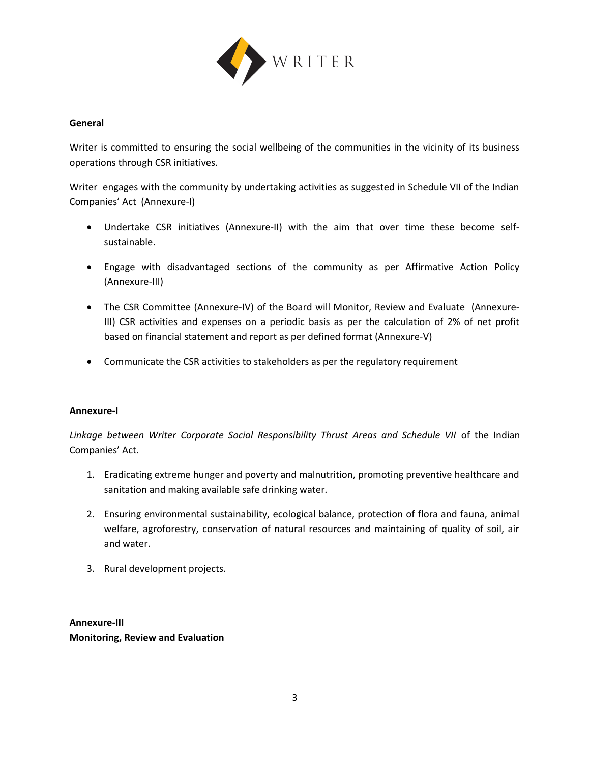

#### **General**

Writer is committed to ensuring the social wellbeing of the communities in the vicinity of its business operations through CSR initiatives.

Writer engages with the community by undertaking activities as suggested in Schedule VII of the Indian Companies' Act (Annexure-I)

- Undertake CSR initiatives (Annexure-II) with the aim that over time these become selfsustainable.
- Engage with disadvantaged sections of the community as per Affirmative Action Policy (Annexure-III)
- The CSR Committee (Annexure-IV) of the Board will Monitor, Review and Evaluate (Annexure-III) CSR activities and expenses on a periodic basis as per the calculation of 2% of net profit based on financial statement and report as per defined format (Annexure-V)
- Communicate the CSR activities to stakeholders as per the regulatory requirement

#### **Annexure-I**

Linkage between Writer Corporate Social Responsibility Thrust Areas and Schedule VII of the Indian Companies' Act.

- 1. Eradicating extreme hunger and poverty and malnutrition, promoting preventive healthcare and sanitation and making available safe drinking water.
- 2. Ensuring environmental sustainability, ecological balance, protection of flora and fauna, animal welfare, agroforestry, conservation of natural resources and maintaining of quality of soil, air and water.
- 3. Rural development projects.

**Annexure-III Monitoring, Review and Evaluation**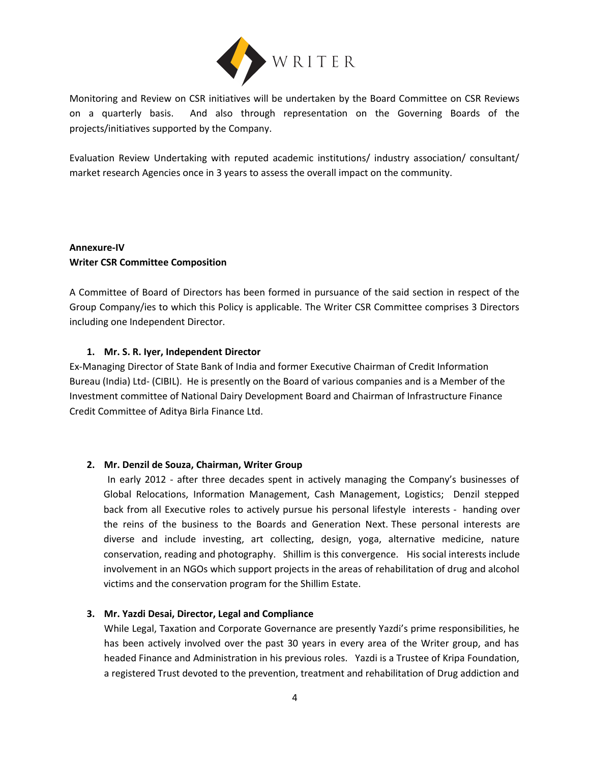

Monitoring and Review on CSR initiatives will be undertaken by the Board Committee on CSR Reviews on a quarterly basis. And also through representation on the Governing Boards of the projects/initiatives supported by the Company.

Evaluation Review Undertaking with reputed academic institutions/ industry association/ consultant/ market research Agencies once in 3 years to assess the overall impact on the community.

# **Annexure-IV Writer CSR Committee Composition**

A Committee of Board of Directors has been formed in pursuance of the said section in respect of the Group Company/ies to which this Policy is applicable. The Writer CSR Committee comprises 3 Directors including one Independent Director.

#### **1. Mr. S. R. Iyer, Independent Director**

Ex-Managing Director of State Bank of India and former Executive Chairman of Credit Information Bureau (India) Ltd- (CIBIL). He is presently on the Board of various companies and is a Member of the Investment committee of National Dairy Development Board and Chairman of Infrastructure Finance Credit Committee of Aditya Birla Finance Ltd.

#### **2. Mr. Denzil de Souza, Chairman, Writer Group**

In early 2012 - after three decades spent in actively managing the Company's businesses of Global Relocations, Information Management, Cash Management, Logistics; Denzil stepped back from all Executive roles to actively pursue his personal lifestyle interests - handing over the reins of the business to the Boards and Generation Next. These personal interests are diverse and include investing, art collecting, design, yoga, alternative medicine, nature conservation, reading and photography. Shillim is this convergence. His social interests include involvement in an NGOs which support projects in the areas of rehabilitation of drug and alcohol victims and the conservation program for the Shillim Estate.

#### **3. Mr. Yazdi Desai, Director, Legal and Compliance**

While Legal, Taxation and Corporate Governance are presently Yazdi's prime responsibilities, he has been actively involved over the past 30 years in every area of the Writer group, and has headed Finance and Administration in his previous roles. Yazdi is a Trustee of Kripa Foundation, a registered Trust devoted to the prevention, treatment and rehabilitation of Drug addiction and